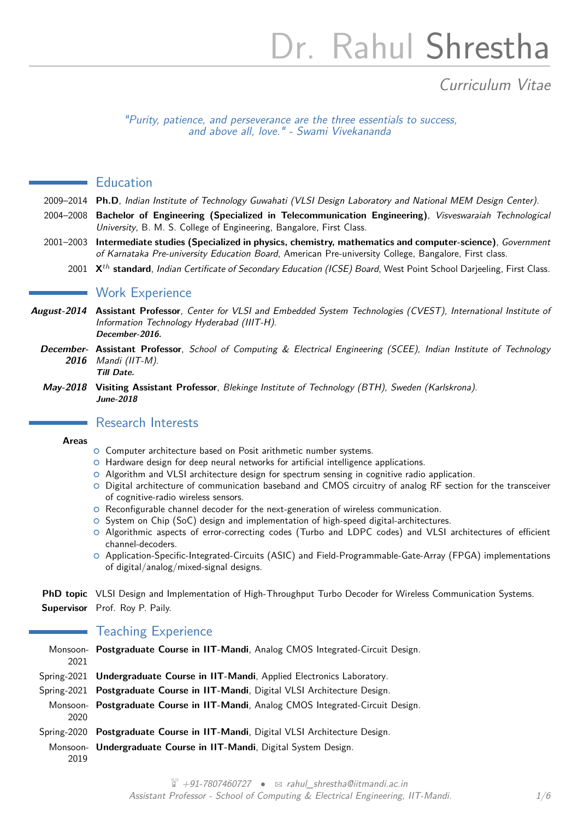# Dr. Rahul Shrestha

# Curriculum Vitae

"Purity, patience, and perseverance are the three essentials to success, and above all, love." - Swami Vivekananda

#### **Education**

- 2009–2014 **Ph.D**, Indian Institute of Technology Guwahati (VLSI Design Laboratory and National MEM Design Center).
- 2004–2008 **Bachelor of Engineering (Specialized in Telecommunication Engineering)**, Visveswaraiah Technological University, B. M. S. College of Engineering, Bangalore, First Class.
- 2001–2003 **Intermediate studies (Specialized in physics, chemistry, mathematics and computer-science)**, Government of Karnataka Pre-university Education Board, American Pre-university College, Bangalore, First class.
	- 2001 **X***th* **standard**, Indian Certificate of Secondary Education (ICSE) Board, West Point School Darjeeling, First Class.

#### **Work Experience**

- **August-2014 Assistant Professor**, Center for VLSI and Embedded System Technologies (CVEST), International Institute of Information Technology Hyderabad (IIIT-H). **December-2016.**
- **December-Assistant Professor**, School of Computing & Electrical Engineering (SCEE), Indian Institute of Technology **2016** Mandi (IIT-M). **Till Date.**
- **May-2018 Visiting Assistant Professor**, Blekinge Institute of Technology (BTH), Sweden (Karlskrona). **June-2018**

### Research Interests

#### **Areas**

- **O** Computer architecture based on Posit arithmetic number systems.
- { Hardware design for deep neural networks for artificial intelligence applications.
- { Algorithm and VLSI architecture design for spectrum sensing in cognitive radio application.
- { Digital architecture of communication baseband and CMOS circuitry of analog RF section for the transceiver of cognitive-radio wireless sensors.
- { Reconfigurable channel decoder for the next-generation of wireless communication.
- **O** System on Chip (SoC) design and implementation of high-speed digital-architectures.
- { Algorithmic aspects of error-correcting codes (Turbo and LDPC codes) and VLSI architectures of efficient channel-decoders.
- { Application-Specific-Integrated-Circuits (ASIC) and Field-Programmable-Gate-Array (FPGA) implementations of digital/analog/mixed-signal designs.

**PhD topic** VLSI Design and Implementation of High-Throughput Turbo Decoder for Wireless Communication Systems. **Supervisor** Prof. Roy P. Paily.

#### **Teaching Experience**

| 2021        | Monsoon- Postgraduate Course in IIT-Mandi, Analog CMOS Integrated-Circuit Design. |
|-------------|-----------------------------------------------------------------------------------|
|             | Spring-2021 Undergraduate Course in IIT-Mandi, Applied Electronics Laboratory.    |
|             | Spring-2021 Postgraduate Course in IIT-Mandi, Digital VLSI Architecture Design.   |
| 2020        | Monsoon- Postgraduate Course in IIT-Mandi, Analog CMOS Integrated-Circuit Design. |
| Spring-2020 | Postgraduate Course in IIT-Mandi, Digital VLSI Architecture Design.               |
| 2019        | Monsoon- Undergraduate Course in IIT-Mandi, Digital System Design.                |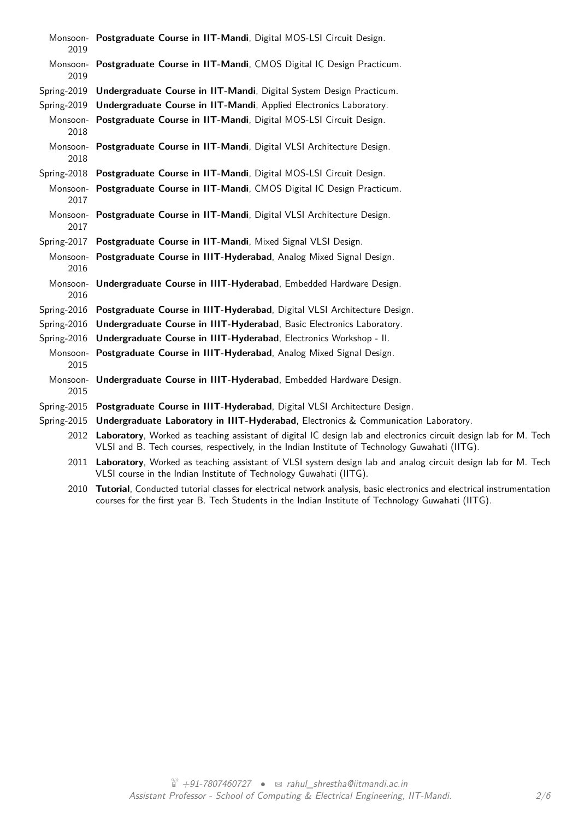| 2019             | Monsoon- Postgraduate Course in IIT-Mandi, Digital MOS-LSI Circuit Design.                                                                                                                                              |
|------------------|-------------------------------------------------------------------------------------------------------------------------------------------------------------------------------------------------------------------------|
| 2019             | Monsoon- Postgraduate Course in IIT-Mandi, CMOS Digital IC Design Practicum.                                                                                                                                            |
| Spring-2019      | Undergraduate Course in IIT-Mandi, Digital System Design Practicum.                                                                                                                                                     |
| Spring-2019      | Undergraduate Course in IIT-Mandi, Applied Electronics Laboratory.                                                                                                                                                      |
| 2018             | Monsoon- Postgraduate Course in IIT-Mandi, Digital MOS-LSI Circuit Design.                                                                                                                                              |
| 2018             | Monsoon- Postgraduate Course in IIT-Mandi, Digital VLSI Architecture Design.                                                                                                                                            |
|                  | Spring-2018 Postgraduate Course in IIT-Mandi, Digital MOS-LSI Circuit Design.                                                                                                                                           |
| 2017             | Monsoon- Postgraduate Course in IIT-Mandi, CMOS Digital IC Design Practicum.                                                                                                                                            |
| 2017             | Monsoon- Postgraduate Course in IIT-Mandi, Digital VLSI Architecture Design.                                                                                                                                            |
| Spring-2017      | Postgraduate Course in IIT-Mandi, Mixed Signal VLSI Design.                                                                                                                                                             |
| 2016             | Monsoon- Postgraduate Course in IIIT-Hyderabad, Analog Mixed Signal Design.                                                                                                                                             |
| 2016             | Monsoon- Undergraduate Course in IIIT-Hyderabad, Embedded Hardware Design.                                                                                                                                              |
|                  | Spring-2016 Postgraduate Course in IIIT-Hyderabad, Digital VLSI Architecture Design.                                                                                                                                    |
| Spring-2016      | Undergraduate Course in IIIT-Hyderabad, Basic Electronics Laboratory.                                                                                                                                                   |
| Spring-2016      | Undergraduate Course in IIIT-Hyderabad, Electronics Workshop - II.                                                                                                                                                      |
| 2015             | Monsoon- Postgraduate Course in IIIT-Hyderabad, Analog Mixed Signal Design.                                                                                                                                             |
| Monsoon-<br>2015 | Undergraduate Course in IIIT-Hyderabad, Embedded Hardware Design.                                                                                                                                                       |
|                  | Spring-2015 Postgraduate Course in IIIT-Hyderabad, Digital VLSI Architecture Design.                                                                                                                                    |
| Spring-2015      | Undergraduate Laboratory in IIIT-Hyderabad, Electronics & Communication Laboratory.                                                                                                                                     |
|                  | 2012 Laboratory, Worked as teaching assistant of digital IC design lab and electronics circuit design lab for M. Tech<br>VLSI and B. Tech courses, respectively, in the Indian Institute of Technology Guwahati (IITG). |
|                  | 2011 Laboratory, Worked as teaching assistant of VLSI system design lab and analog circuit design lab for M. Tech<br>VLSI course in the Indian Institute of Technology Guwahati (IITG).                                 |

2010 **Tutorial**, Conducted tutorial classes for electrical network analysis, basic electronics and electrical instrumentation courses for the first year B. Tech Students in the Indian Institute of Technology Guwahati (IITG).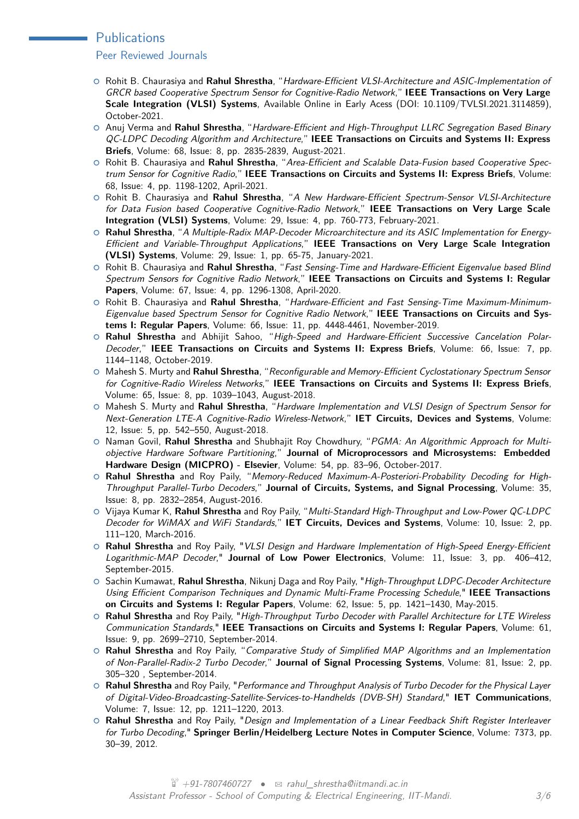#### **Publications**

#### Peer Reviewed Journals

- { Rohit B. Chaurasiya and **Rahul Shrestha**, "Hardware-Efficient VLSI-Architecture and ASIC-Implementation of GRCR based Cooperative Spectrum Sensor for Cognitive-Radio Network," **IEEE Transactions on Very Large Scale Integration (VLSI) Systems**, Available Online in Early Acess (DOI: 10.1109/TVLSI.2021.3114859), October-2021.
- { Anuj Verma and **Rahul Shrestha**, "Hardware-Efficient and High-Throughput LLRC Segregation Based Binary QC-LDPC Decoding Algorithm and Architecture," **IEEE Transactions on Circuits and Systems II: Express Briefs**, Volume: 68, Issue: 8, pp. 2835-2839, August-2021.
- { Rohit B. Chaurasiya and **Rahul Shrestha**, "Area-Efficient and Scalable Data-Fusion based Cooperative Spectrum Sensor for Cognitive Radio," **IEEE Transactions on Circuits and Systems II: Express Briefs**, Volume: 68, Issue: 4, pp. 1198-1202, April-2021.
- { Rohit B. Chaurasiya and **Rahul Shrestha**, "A New Hardware-Efficient Spectrum-Sensor VLSI-Architecture for Data Fusion based Cooperative Cognitive-Radio Network," **IEEE Transactions on Very Large Scale Integration (VLSI) Systems**, Volume: 29, Issue: 4, pp. 760-773, February-2021.
- { **Rahul Shrestha**, "A Multiple-Radix MAP-Decoder Microarchitecture and its ASIC Implementation for Energy-Efficient and Variable-Throughput Applications," **IEEE Transactions on Very Large Scale Integration (VLSI) Systems**, Volume: 29, Issue: 1, pp. 65-75, January-2021.
- { Rohit B. Chaurasiya and **Rahul Shrestha**, "Fast Sensing-Time and Hardware-Efficient Eigenvalue based Blind Spectrum Sensors for Cognitive Radio Network," **IEEE Transactions on Circuits and Systems I: Regular Papers**, Volume: 67, Issue: 4, pp. 1296-1308, April-2020.
- { Rohit B. Chaurasiya and **Rahul Shrestha**, "Hardware-Efficient and Fast Sensing-Time Maximum-Minimum-Eigenvalue based Spectrum Sensor for Cognitive Radio Network," **IEEE Transactions on Circuits and Systems I: Regular Papers**, Volume: 66, Issue: 11, pp. 4448-4461, November-2019.
- { **Rahul Shrestha** and Abhijit Sahoo, "High-Speed and Hardware-Efficient Successive Cancelation Polar-Decoder," **IEEE Transactions on Circuits and Systems II: Express Briefs**, Volume: 66, Issue: 7, pp. 1144–1148, October-2019.
- { Mahesh S. Murty and **Rahul Shrestha**, "Reconfigurable and Memory-Efficient Cyclostationary Spectrum Sensor for Cognitive-Radio Wireless Networks," **IEEE Transactions on Circuits and Systems II: Express Briefs**, Volume: 65, Issue: 8, pp. 1039–1043, August-2018.
- { Mahesh S. Murty and **Rahul Shrestha**, "Hardware Implementation and VLSI Design of Spectrum Sensor for Next-Generation LTE-A Cognitive-Radio Wireless-Network," **IET Circuits, Devices and Systems**, Volume: 12, Issue: 5, pp. 542–550, August-2018.
- { Naman Govil, **Rahul Shrestha** and Shubhajit Roy Chowdhury, "PGMA: An Algorithmic Approach for Multiobjective Hardware Software Partitioning," **Journal of Microprocessors and Microsystems: Embedded Hardware Design (MICPRO) - Elsevier**, Volume: 54, pp. 83–96, October-2017.
- { **Rahul Shrestha** and Roy Paily, "Memory-Reduced Maximum-A-Posteriori-Probability Decoding for High-Throughput Parallel-Turbo Decoders," **Journal of Circuits, Systems, and Signal Processing**, Volume: 35, Issue: 8, pp. 2832–2854, August-2016.
- { Vijaya Kumar K, **Rahul Shrestha** and Roy Paily, "Multi-Standard High-Throughput and Low-Power QC-LDPC Decoder for WiMAX and WiFi Standards," **IET Circuits, Devices and Systems**, Volume: 10, Issue: 2, pp. 111–120, March-2016.
- { **Rahul Shrestha** and Roy Paily, "VLSI Design and Hardware Implementation of High-Speed Energy-Efficient Logarithmic-MAP Decoder," **Journal of Low Power Electronics**, Volume: 11, Issue: 3, pp. 406–412, September-2015.
- { Sachin Kumawat, **Rahul Shrestha**, Nikunj Daga and Roy Paily, "High-Throughput LDPC-Decoder Architecture Using Efficient Comparison Techniques and Dynamic Multi-Frame Processing Schedule," **IEEE Transactions on Circuits and Systems I: Regular Papers**, Volume: 62, Issue: 5, pp. 1421–1430, May-2015.
- { **Rahul Shrestha** and Roy Paily, "High-Throughput Turbo Decoder with Parallel Architecture for LTE Wireless Communication Standards," **IEEE Transactions on Circuits and Systems I: Regular Papers**, Volume: 61, Issue: 9, pp. 2699–2710, September-2014.
- { **Rahul Shrestha** and Roy Paily, "Comparative Study of Simplified MAP Algorithms and an Implementation of Non-Parallel-Radix-2 Turbo Decoder," **Journal of Signal Processing Systems**, Volume: 81, Issue: 2, pp. 305–320 , September-2014.
- { **Rahul Shrestha** and Roy Paily, "Performance and Throughput Analysis of Turbo Decoder for the Physical Layer of Digital-Video-Broadcasting-Satellite-Services-to-Handhelds (DVB-SH) Standard," **IET Communications**, Volume: 7, Issue: 12, pp. 1211–1220, 2013.
- { **Rahul Shrestha** and Roy Paily, "Design and Implementation of a Linear Feedback Shift Register Interleaver for Turbo Decoding," **Springer Berlin/Heidelberg Lecture Notes in Computer Science**, Volume: 7373, pp. 30–39, 2012.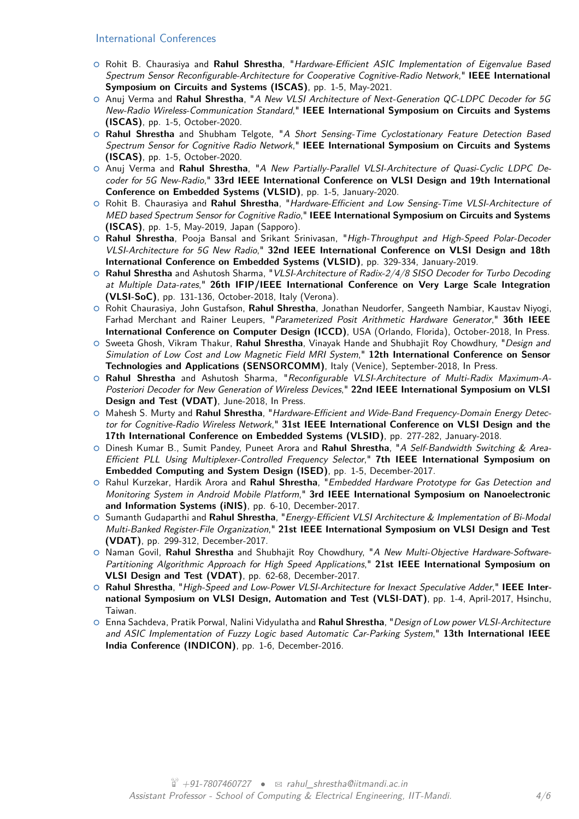#### International Conferences

- { Rohit B. Chaurasiya and **Rahul Shrestha**, "Hardware-Efficient ASIC Implementation of Eigenvalue Based Spectrum Sensor Reconfigurable-Architecture for Cooperative Cognitive-Radio Network," **IEEE International Symposium on Circuits and Systems (ISCAS)**, pp. 1-5, May-2021.
- { Anuj Verma and **Rahul Shrestha**, "A New VLSI Architecture of Next-Generation QC-LDPC Decoder for 5G New-Radio Wireless-Communication Standard," **IEEE International Symposium on Circuits and Systems (ISCAS)**, pp. 1-5, October-2020.
- { **Rahul Shrestha** and Shubham Telgote, "A Short Sensing-Time Cyclostationary Feature Detection Based Spectrum Sensor for Cognitive Radio Network," **IEEE International Symposium on Circuits and Systems (ISCAS)**, pp. 1-5, October-2020.
- { Anuj Verma and **Rahul Shrestha**, "A New Partially-Parallel VLSI-Architecture of Quasi-Cyclic LDPC Decoder for 5G New-Radio," **33rd IEEE International Conference on VLSI Design and 19th International Conference on Embedded Systems (VLSID)**, pp. 1-5, January-2020.
- { Rohit B. Chaurasiya and **Rahul Shrestha**, "Hardware-Efficient and Low Sensing-Time VLSI-Architecture of MED based Spectrum Sensor for Cognitive Radio," **IEEE International Symposium on Circuits and Systems (ISCAS)**, pp. 1-5, May-2019, Japan (Sapporo).
- **<sup>O</sup> Rahul Shrestha**, Pooja Bansal and Srikant Srinivasan, "High-Throughput and High-Speed Polar-Decoder VLSI-Architecture for 5G New Radio," **32nd IEEE International Conference on VLSI Design and 18th International Conference on Embedded Systems (VLSID)**, pp. 329-334, January-2019.
- { **Rahul Shrestha** and Ashutosh Sharma, "VLSI-Architecture of Radix-2/4/8 SISO Decoder for Turbo Decoding at Multiple Data-rates," **26th IFIP/IEEE International Conference on Very Large Scale Integration (VLSI-SoC)**, pp. 131-136, October-2018, Italy (Verona).
- { Rohit Chaurasiya, John Gustafson, **Rahul Shrestha**, Jonathan Neudorfer, Sangeeth Nambiar, Kaustav Niyogi, Farhad Merchant and Rainer Leupers, "Parameterized Posit Arithmetic Hardware Generator," **36th IEEE International Conference on Computer Design (ICCD)**, USA (Orlando, Florida), October-2018, In Press.
- { Sweeta Ghosh, Vikram Thakur, **Rahul Shrestha**, Vinayak Hande and Shubhajit Roy Chowdhury, "Design and Simulation of Low Cost and Low Magnetic Field MRI System," **12th International Conference on Sensor Technologies and Applications (SENSORCOMM)**, Italy (Venice), September-2018, In Press.
- { **Rahul Shrestha** and Ashutosh Sharma, "Reconfigurable VLSI-Architecture of Multi-Radix Maximum-A-Posteriori Decoder for New Generation of Wireless Devices," **22nd IEEE International Symposium on VLSI Design and Test (VDAT)**, June-2018, In Press.
- { Mahesh S. Murty and **Rahul Shrestha**, "Hardware-Efficient and Wide-Band Frequency-Domain Energy Detector for Cognitive-Radio Wireless Network," **31st IEEE International Conference on VLSI Design and the 17th International Conference on Embedded Systems (VLSID)**, pp. 277-282, January-2018.
- { Dinesh Kumar B., Sumit Pandey, Puneet Arora and **Rahul Shrestha**, "A Self-Bandwidth Switching & Area-Efficient PLL Using Multiplexer-Controlled Frequency Selector," **7th IEEE International Symposium on Embedded Computing and System Design (ISED)**, pp. 1-5, December-2017.
- { Rahul Kurzekar, Hardik Arora and **Rahul Shrestha**, "Embedded Hardware Prototype for Gas Detection and Monitoring System in Android Mobile Platform," **3rd IEEE International Symposium on Nanoelectronic and Information Systems (iNIS)**, pp. 6-10, December-2017.
- { Sumanth Gudaparthi and **Rahul Shrestha**, "Energy-Efficient VLSI Architecture & Implementation of Bi-Modal Multi-Banked Register-File Organization," **21st IEEE International Symposium on VLSI Design and Test (VDAT)**, pp. 299-312, December-2017.
- { Naman Govil, **Rahul Shrestha** and Shubhajit Roy Chowdhury, "A New Multi-Objective Hardware-Software-Partitioning Algorithmic Approach for High Speed Applications," **21st IEEE International Symposium on VLSI Design and Test (VDAT)**, pp. 62-68, December-2017.
- { **Rahul Shrestha**, "High-Speed and Low-Power VLSI-Architecture for Inexact Speculative Adder," **IEEE International Symposium on VLSI Design, Automation and Test (VLSI-DAT)**, pp. 1-4, April-2017, Hsinchu, Taiwan.
- { Enna Sachdeva, Pratik Porwal, Nalini Vidyulatha and **Rahul Shrestha**, "Design of Low power VLSI-Architecture and ASIC Implementation of Fuzzy Logic based Automatic Car-Parking System," **13th International IEEE India Conference (INDICON)**, pp. 1-6, December-2016.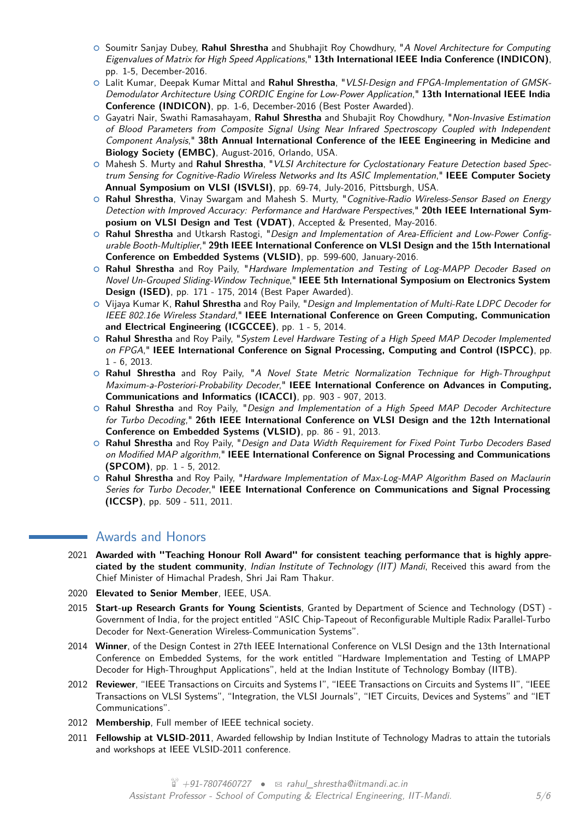- { Soumitr Sanjay Dubey, **Rahul Shrestha** and Shubhajit Roy Chowdhury, "A Novel Architecture for Computing Eigenvalues of Matrix for High Speed Applications," **13th International IEEE India Conference (INDICON)**, pp. 1-5, December-2016.
- { Lalit Kumar, Deepak Kumar Mittal and **Rahul Shrestha**, "VLSI-Design and FPGA-Implementation of GMSK-Demodulator Architecture Using CORDIC Engine for Low-Power Application," **13th International IEEE India Conference (INDICON)**, pp. 1-6, December-2016 (Best Poster Awarded).
- { Gayatri Nair, Swathi Ramasahayam, **Rahul Shrestha** and Shubajit Roy Chowdhury, "Non-Invasive Estimation of Blood Parameters from Composite Signal Using Near Infrared Spectroscopy Coupled with Independent Component Analysis," **38th Annual International Conference of the IEEE Engineering in Medicine and Biology Society (EMBC)**, August-2016, Orlando, USA.
- { Mahesh S. Murty and **Rahul Shrestha**, "VLSI Architecture for Cyclostationary Feature Detection based Spectrum Sensing for Cognitive-Radio Wireless Networks and Its ASIC Implementation," **IEEE Computer Society Annual Symposium on VLSI (ISVLSI)**, pp. 69-74, July-2016, Pittsburgh, USA.
- { **Rahul Shrestha**, Vinay Swargam and Mahesh S. Murty, "Cognitive-Radio Wireless-Sensor Based on Energy Detection with Improved Accuracy: Performance and Hardware Perspectives," **20th IEEE International Symposium on VLSI Design and Test (VDAT)**, Accepted & Presented, May-2016.
- { **Rahul Shrestha** and Utkarsh Rastogi, "Design and Implementation of Area-Efficient and Low-Power Configurable Booth-Multiplier," **29th IEEE International Conference on VLSI Design and the 15th International Conference on Embedded Systems (VLSID)**, pp. 599-600, January-2016.
- { **Rahul Shrestha** and Roy Paily, "Hardware Implementation and Testing of Log-MAPP Decoder Based on Novel Un-Grouped Sliding-Window Technique," **IEEE 5th International Symposium on Electronics System Design (ISED)**, pp. 171 - 175, 2014 (Best Paper Awarded).
- { Vijaya Kumar K, **Rahul Shrestha** and Roy Paily, "Design and Implementation of Multi-Rate LDPC Decoder for IEEE 802.16e Wireless Standard," **IEEE International Conference on Green Computing, Communication and Electrical Engineering (ICGCCEE)**, pp. 1 - 5, 2014.
- { **Rahul Shrestha** and Roy Paily, "System Level Hardware Testing of a High Speed MAP Decoder Implemented on FPGA," **IEEE International Conference on Signal Processing, Computing and Control (ISPCC)**, pp. 1 - 6, 2013.
- **O Rahul Shrestha** and Roy Paily, "A Novel State Metric Normalization Technique for High-Throughput Maximum-a-Posteriori-Probability Decoder," **IEEE International Conference on Advances in Computing, Communications and Informatics (ICACCI)**, pp. 903 - 907, 2013.
- **O Rahul Shrestha** and Roy Paily, "Design and Implementation of a High Speed MAP Decoder Architecture for Turbo Decoding," **26th IEEE International Conference on VLSI Design and the 12th International Conference on Embedded Systems (VLSID)**, pp. 86 - 91, 2013.
- { **Rahul Shrestha** and Roy Paily, "Design and Data Width Requirement for Fixed Point Turbo Decoders Based on Modified MAP algorithm," **IEEE International Conference on Signal Processing and Communications (SPCOM)**, pp. 1 - 5, 2012.
- { **Rahul Shrestha** and Roy Paily, "Hardware Implementation of Max-Log-MAP Algorithm Based on Maclaurin Series for Turbo Decoder," **IEEE International Conference on Communications and Signal Processing (ICCSP)**, pp. 509 - 511, 2011.

#### Awards and Honors

- 2021 **Awarded with "Teaching Honour Roll Award" for consistent teaching performance that is highly appreciated by the student community**, Indian Institute of Technology (IIT) Mandi, Received this award from the Chief Minister of Himachal Pradesh, Shri Jai Ram Thakur.
- 2020 **Elevated to Senior Member**, IEEE, USA.
- 2015 **Start-up Research Grants for Young Scientists**, Granted by Department of Science and Technology (DST) Government of India, for the project entitled "ASIC Chip-Tapeout of Reconfigurable Multiple Radix Parallel-Turbo Decoder for Next-Generation Wireless-Communication Systems".
- 2014 **Winner**, of the Design Contest in 27th IEEE International Conference on VLSI Design and the 13th International Conference on Embedded Systems, for the work entitled "Hardware Implementation and Testing of LMAPP Decoder for High-Throughput Applications", held at the Indian Institute of Technology Bombay (IITB).
- 2012 **Reviewer**, "IEEE Transactions on Circuits and Systems I", "IEEE Transactions on Circuits and Systems II", "IEEE Transactions on VLSI Systems", "Integration, the VLSI Journals", "IET Circuits, Devices and Systems" and "IET Communications".
- 2012 **Membership**, Full member of IEEE technical society.
- 2011 **Fellowship at VLSID-2011**, Awarded fellowship by Indian Institute of Technology Madras to attain the tutorials and workshops at IEEE VLSID-2011 conference.